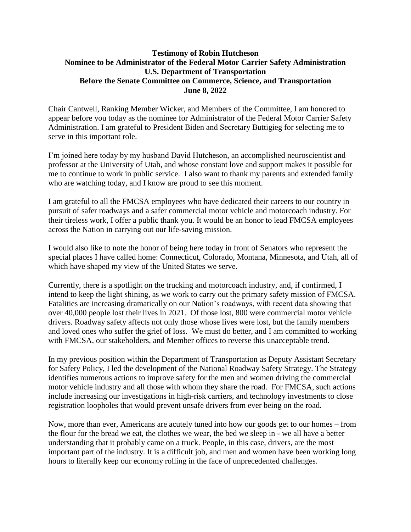## **Testimony of Robin Hutcheson Nominee to be Administrator of the Federal Motor Carrier Safety Administration U.S. Department of Transportation Before the Senate Committee on Commerce, Science, and Transportation June 8, 2022**

Chair Cantwell, Ranking Member Wicker, and Members of the Committee, I am honored to appear before you today as the nominee for Administrator of the Federal Motor Carrier Safety Administration. I am grateful to President Biden and Secretary Buttigieg for selecting me to serve in this important role.

I'm joined here today by my husband David Hutcheson, an accomplished neuroscientist and professor at the University of Utah, and whose constant love and support makes it possible for me to continue to work in public service. I also want to thank my parents and extended family who are watching today, and I know are proud to see this moment.

I am grateful to all the FMCSA employees who have dedicated their careers to our country in pursuit of safer roadways and a safer commercial motor vehicle and motorcoach industry. For their tireless work, I offer a public thank you. It would be an honor to lead FMCSA employees across the Nation in carrying out our life-saving mission.

I would also like to note the honor of being here today in front of Senators who represent the special places I have called home: Connecticut, Colorado, Montana, Minnesota, and Utah, all of which have shaped my view of the United States we serve.

Currently, there is a spotlight on the trucking and motorcoach industry, and, if confirmed, I intend to keep the light shining, as we work to carry out the primary safety mission of FMCSA. Fatalities are increasing dramatically on our Nation's roadways, with recent data showing that over 40,000 people lost their lives in 2021. Of those lost, 800 were commercial motor vehicle drivers. Roadway safety affects not only those whose lives were lost, but the family members and loved ones who suffer the grief of loss. We must do better, and I am committed to working with FMCSA, our stakeholders, and Member offices to reverse this unacceptable trend.

In my previous position within the Department of Transportation as Deputy Assistant Secretary for Safety Policy, I led the development of the National Roadway Safety Strategy. The Strategy identifies numerous actions to improve safety for the men and women driving the commercial motor vehicle industry and all those with whom they share the road. For FMCSA, such actions include increasing our investigations in high-risk carriers, and technology investments to close registration loopholes that would prevent unsafe drivers from ever being on the road.

Now, more than ever, Americans are acutely tuned into how our goods get to our homes – from the flour for the bread we eat, the clothes we wear, the bed we sleep in - we all have a better understanding that it probably came on a truck. People, in this case, drivers, are the most important part of the industry. It is a difficult job, and men and women have been working long hours to literally keep our economy rolling in the face of unprecedented challenges.